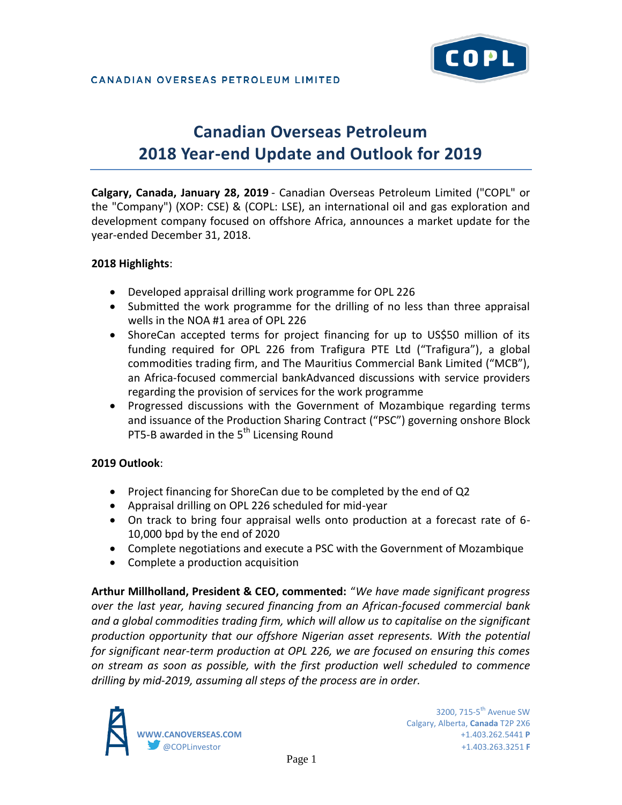# **Canadian Overseas Petroleum 2018 Year-end Update and Outlook for 2019**

**Calgary, Canada, January 28, 2019** - Canadian Overseas Petroleum Limited ("COPL" or the "Company") (XOP: CSE) & (COPL: LSE), an international oil and gas exploration and development company focused on offshore Africa, announces a market update for the year-ended December 31, 2018.

### **2018 Highlights**:

- Developed appraisal drilling work programme for OPL 226
- Submitted the work programme for the drilling of no less than three appraisal wells in the NOA #1 area of OPL 226
- ShoreCan accepted terms for project financing for up to US\$50 million of its funding required for OPL 226 from Trafigura PTE Ltd ("Trafigura"), a global commodities trading firm, and The Mauritius Commercial Bank Limited ("MCB"), an Africa-focused commercial bankAdvanced discussions with service providers regarding the provision of services for the work programme
- Progressed discussions with the Government of Mozambique regarding terms and issuance of the Production Sharing Contract ("PSC") governing onshore Block PT5-B awarded in the  $5<sup>th</sup>$  Licensing Round

### **2019 Outlook**:

- Project financing for ShoreCan due to be completed by the end of Q2
- Appraisal drilling on OPL 226 scheduled for mid-year
- On track to bring four appraisal wells onto production at a forecast rate of 6- 10,000 bpd by the end of 2020
- Complete negotiations and execute a PSC with the Government of Mozambique
- Complete a production acquisition

**Arthur Millholland, President & CEO, commented:** "*We have made significant progress over the last year, having secured financing from an African-focused commercial bank and a global commodities trading firm, which will allow us to capitalise on the significant production opportunity that our offshore Nigerian asset represents. With the potential for significant near-term production at OPL 226, we are focused on ensuring this comes on stream as soon as possible, with the first production well scheduled to commence drilling by mid-2019, assuming all steps of the process are in order.*

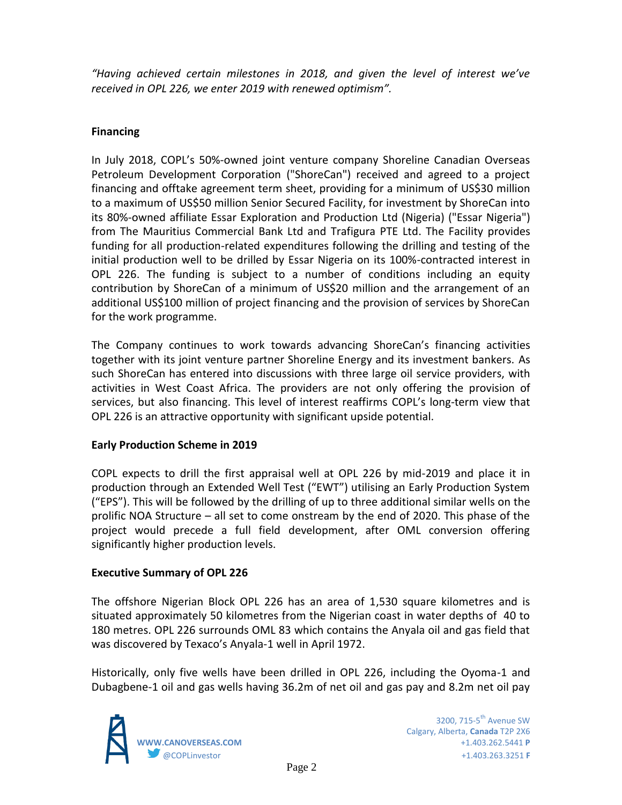*"Having achieved certain milestones in 2018, and given the level of interest we've received in OPL 226, we enter 2019 with renewed optimism".*

### **Financing**

In July 2018, COPL's 50%-owned joint venture company Shoreline Canadian Overseas Petroleum Development Corporation ("ShoreCan") received and agreed to a project financing and offtake agreement term sheet, providing for a minimum of US\$30 million to a maximum of US\$50 million Senior Secured Facility, for investment by ShoreCan into its 80%-owned affiliate Essar Exploration and Production Ltd (Nigeria) ("Essar Nigeria") from The Mauritius Commercial Bank Ltd and Trafigura PTE Ltd. The Facility provides funding for all production-related expenditures following the drilling and testing of the initial production well to be drilled by Essar Nigeria on its 100%-contracted interest in OPL 226. The funding is subject to a number of conditions including an equity contribution by ShoreCan of a minimum of US\$20 million and the arrangement of an additional US\$100 million of project financing and the provision of services by ShoreCan for the work programme.

The Company continues to work towards advancing ShoreCan's financing activities together with its joint venture partner Shoreline Energy and its investment bankers. As such ShoreCan has entered into discussions with three large oil service providers, with activities in West Coast Africa. The providers are not only offering the provision of services, but also financing. This level of interest reaffirms COPL's long-term view that OPL 226 is an attractive opportunity with significant upside potential.

### **Early Production Scheme in 2019**

COPL expects to drill the first appraisal well at OPL 226 by mid-2019 and place it in production through an Extended Well Test ("EWT") utilising an Early Production System ("EPS"). This will be followed by the drilling of up to three additional similar wells on the prolific NOA Structure – all set to come onstream by the end of 2020. This phase of the project would precede a full field development, after OML conversion offering significantly higher production levels.

### **Executive Summary of OPL 226**

The offshore Nigerian Block OPL 226 has an area of 1,530 square kilometres and is situated approximately 50 kilometres from the Nigerian coast in water depths of 40 to 180 metres. OPL 226 surrounds OML 83 which contains the Anyala oil and gas field that was discovered by Texaco's Anyala-1 well in April 1972.

Historically, only five wells have been drilled in OPL 226, including the Oyoma-1 and Dubagbene-1 oil and gas wells having 36.2m of net oil and gas pay and 8.2m net oil pay

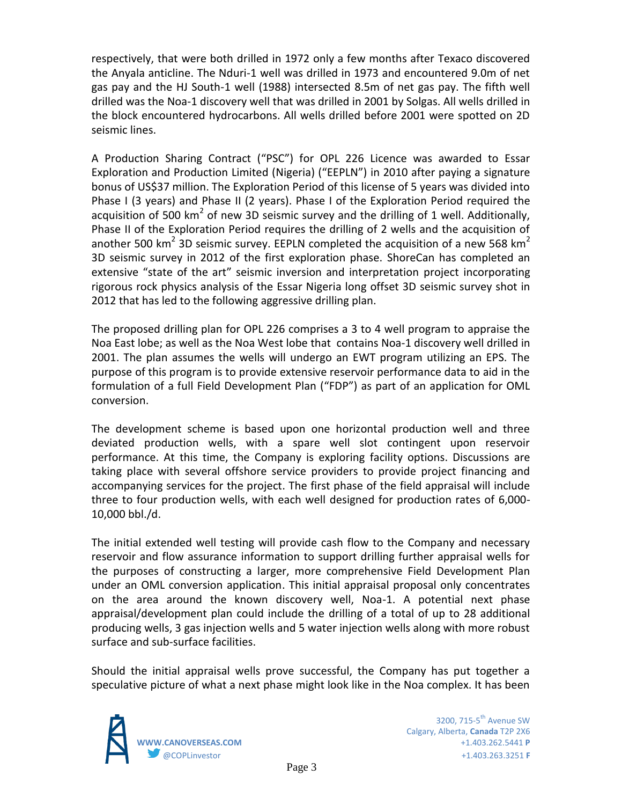respectively, that were both drilled in 1972 only a few months after Texaco discovered the Anyala anticline. The Nduri-1 well was drilled in 1973 and encountered 9.0m of net gas pay and the HJ South-1 well (1988) intersected 8.5m of net gas pay. The fifth well drilled was the Noa-1 discovery well that was drilled in 2001 by Solgas. All wells drilled in the block encountered hydrocarbons. All wells drilled before 2001 were spotted on 2D seismic lines.

A Production Sharing Contract ("PSC") for OPL 226 Licence was awarded to Essar Exploration and Production Limited (Nigeria) ("EEPLN") in 2010 after paying a signature bonus of US\$37 million. The Exploration Period of this license of 5 years was divided into Phase I (3 years) and Phase II (2 years). Phase I of the Exploration Period required the acquisition of 500 km<sup>2</sup> of new 3D seismic survey and the drilling of 1 well. Additionally, Phase II of the Exploration Period requires the drilling of 2 wells and the acquisition of another 500 km<sup>2</sup> 3D seismic survey. EEPLN completed the acquisition of a new 568 km<sup>2</sup> 3D seismic survey in 2012 of the first exploration phase. ShoreCan has completed an extensive "state of the art" seismic inversion and interpretation project incorporating rigorous rock physics analysis of the Essar Nigeria long offset 3D seismic survey shot in 2012 that has led to the following aggressive drilling plan.

The proposed drilling plan for OPL 226 comprises a 3 to 4 well program to appraise the Noa East lobe; as well as the Noa West lobe that contains Noa-1 discovery well drilled in 2001. The plan assumes the wells will undergo an EWT program utilizing an EPS. The purpose of this program is to provide extensive reservoir performance data to aid in the formulation of a full Field Development Plan ("FDP") as part of an application for OML conversion.

The development scheme is based upon one horizontal production well and three deviated production wells, with a spare well slot contingent upon reservoir performance. At this time, the Company is exploring facility options. Discussions are taking place with several offshore service providers to provide project financing and accompanying services for the project. The first phase of the field appraisal will include three to four production wells, with each well designed for production rates of 6,000- 10,000 bbl./d.

The initial extended well testing will provide cash flow to the Company and necessary reservoir and flow assurance information to support drilling further appraisal wells for the purposes of constructing a larger, more comprehensive Field Development Plan under an OML conversion application. This initial appraisal proposal only concentrates on the area around the known discovery well, Noa-1. A potential next phase appraisal/development plan could include the drilling of a total of up to 28 additional producing wells, 3 gas injection wells and 5 water injection wells along with more robust surface and sub-surface facilities.

Should the initial appraisal wells prove successful, the Company has put together a speculative picture of what a next phase might look like in the Noa complex. It has been

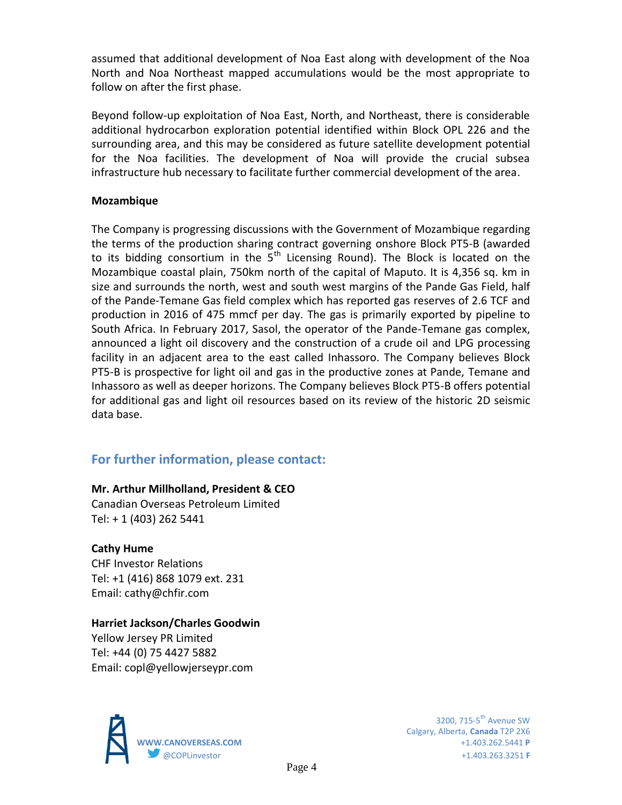assumed that additional development of Noa East along with development of the Noa North and Noa Northeast mapped accumulations would be the most appropriate to follow on after the first phase.

Beyond follow-up exploitation of Noa East, North, and Northeast, there is considerable additional hydrocarbon exploration potential identified within Block OPL 226 and the surrounding area, and this may be considered as future satellite development potential for the Noa facilities. The development of Noa will provide the crucial subsea infrastructure hub necessary to facilitate further commercial development of the area.

### **Mozambique**

The Company is progressing discussions with the Government of Mozambique regarding the terms of the production sharing contract governing onshore Block PT5-B (awarded to its bidding consortium in the  $5<sup>th</sup>$  Licensing Round). The Block is located on the Mozambique coastal plain, 750km north of the capital of Maputo. It is 4,356 sq. km in size and surrounds the north, west and south west margins of the Pande Gas Field, half of the Pande-Temane Gas field complex which has reported gas reserves of 2.6 TCF and production in 2016 of 475 mmcf per day. The gas is primarily exported by pipeline to South Africa. In February 2017, Sasol, the operator of the Pande-Temane gas complex, announced a light oil discovery and the construction of a crude oil and LPG processing facility in an adjacent area to the east called Inhassoro. The Company believes Block PT5-B is prospective for light oil and gas in the productive zones at Pande, Temane and Inhassoro as well as deeper horizons. The Company believes Block PT5-B offers potential for additional gas and light oil resources based on its review of the historic 2D seismic data base.

## **For further information, please contact:**

### **Mr. Arthur Millholland, President & CEO**

Canadian Overseas Petroleum Limited Tel: + 1 (403) 262 5441

### **Cathy Hume**

CHF Investor Relations Tel: +1 (416) 868 1079 ext. 231 Email: cathy@chfir.com

### **Harriet Jackson/Charles Goodwin**

Yellow Jersey PR Limited Tel: +44 (0) 75 4427 5882 Email: copl@yellowjerseypr.com



Calgary, Alberta, **Canada** T2P 2X6 **WWW.CANOVERSEAS.COM** +1.403.262.5441 **P** @COPLinvestor +1.403.263.3251 **F**